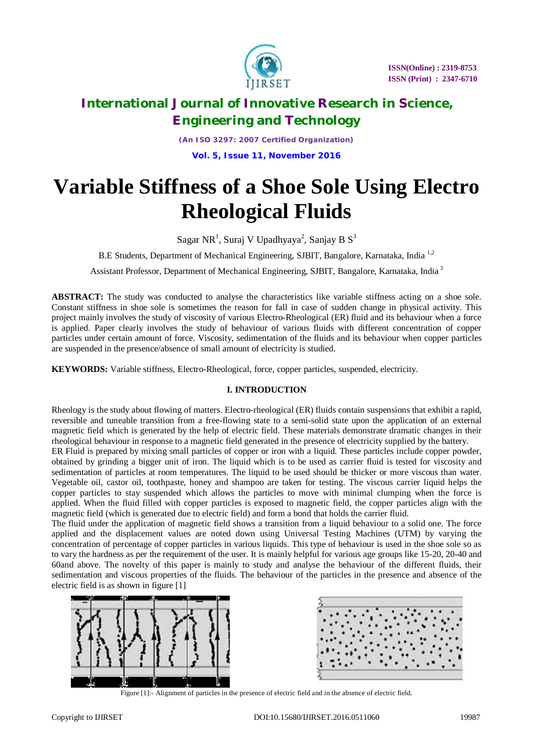

*(An ISO 3297: 2007 Certified Organization)* **Vol. 5, Issue 11, November 2016**

# **Variable Stiffness of a Shoe Sole Using Electro Rheological Fluids**

Sagar NR<sup>1</sup>, Suraj V Upadhyaya<sup>2</sup>, Sanjay B S<sup>3</sup>

B.E Students, Department of Mechanical Engineering, SJBIT, Bangalore, Karnataka, India 1,2

Assistant Professor, Department of Mechanical Engineering, SJBIT, Bangalore, Karnataka, India <sup>3</sup>

**ABSTRACT:** The study was conducted to analyse the characteristics like variable stiffness acting on a shoe sole. Constant stiffness in shoe sole is sometimes the reason for fall in case of sudden change in physical activity. This project mainly involves the study of viscosity of various Electro-Rheological (ER) fluid and its behaviour when a force is applied. Paper clearly involves the study of behaviour of various fluids with different concentration of copper particles under certain amount of force. Viscosity, sedimentation of the fluids and its behaviour when copper particles are suspended in the presence/absence of small amount of electricity is studied.

**KEYWORDS:** Variable stiffness, Electro-Rheological, force, copper particles, suspended, electricity.

### **I. INTRODUCTION**

Rheology is the study about flowing of matters. Electro-rheological (ER) fluids contain suspensions that exhibit a rapid, reversible and tuneable transition from a free-flowing state to a semi-solid state upon the application of an external magnetic field which is generated by the help of electric field. These materials demonstrate dramatic changes in their rheological behaviour in response to a magnetic field generated in the presence of electricity supplied by the battery.

ER Fluid is prepared by mixing small particles of copper or iron with a liquid. These particles include copper powder, obtained by grinding a bigger unit of iron. The liquid which is to be used as carrier fluid is tested for viscosity and sedimentation of particles at room temperatures. The liquid to be used should be thicker or more viscous than water. Vegetable oil, castor oil, toothpaste, honey and shampoo are taken for testing. The viscous carrier liquid helps the copper particles to stay suspended which allows the particles to move with minimal clumping when the force is applied. When the fluid filled with copper particles is exposed to magnetic field, the copper particles align with the magnetic field (which is generated due to electric field) and form a bond that holds the carrier fluid.

The fluid under the application of magnetic field shows a transition from a liquid behaviour to a solid one. The force applied and the displacement values are noted down using Universal Testing Machines (UTM) by varying the concentration of percentage of copper particles in various liquids. This type of behaviour is used in the shoe sole so as to vary the hardness as per the requirement of the user. It is mainly helpful for various age groups like 15-20, 20-40 and 60and above. The novelty of this paper is mainly to study and analyse the behaviour of the different fluids, their sedimentation and viscous properties of the fluids. The behaviour of the particles in the presence and absence of the electric field is as shown in figure [1]





Figure [1]:- Alignment of particles in the presence of electric field and in the absence of electric field.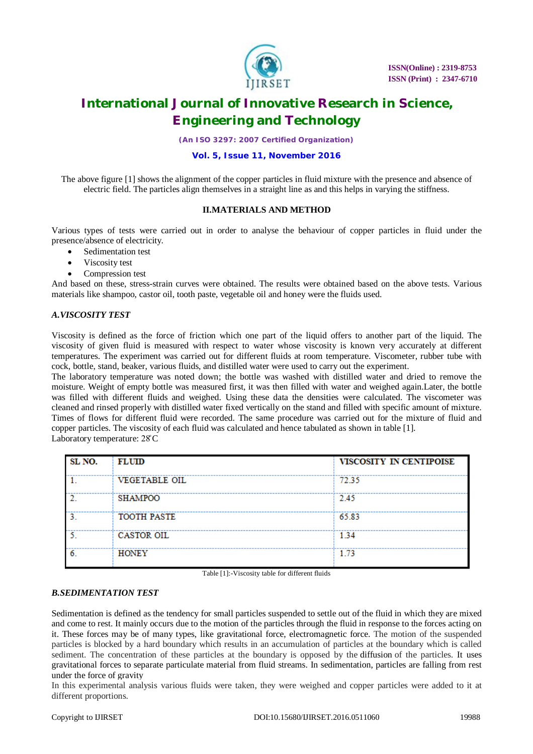

*(An ISO 3297: 2007 Certified Organization)*

### **Vol. 5, Issue 11, November 2016**

The above figure [1] shows the alignment of the copper particles in fluid mixture with the presence and absence of electric field. The particles align themselves in a straight line as and this helps in varying the stiffness.

### **II.MATERIALS AND METHOD**

Various types of tests were carried out in order to analyse the behaviour of copper particles in fluid under the presence/absence of electricity.

- Sedimentation test
- Viscosity test
- Compression test

And based on these, stress-strain curves were obtained. The results were obtained based on the above tests. Various materials like shampoo, castor oil, tooth paste, vegetable oil and honey were the fluids used.

#### *A.VISCOSITY TEST*

Viscosity is defined as the force of friction which one part of the liquid offers to another part of the liquid. The viscosity of given fluid is measured with respect to water whose viscosity is known very accurately at different temperatures. The experiment was carried out for different fluids at room temperature. Viscometer, rubber tube with cock, bottle, stand, beaker, various fluids, and distilled water were used to carry out the experiment.

The laboratory temperature was noted down; the bottle was washed with distilled water and dried to remove the moisture. Weight of empty bottle was measured first, it was then filled with water and weighed again.Later, the bottle was filled with different fluids and weighed. Using these data the densities were calculated. The viscometer was cleaned and rinsed properly with distilled water fixed vertically on the stand and filled with specific amount of mixture. Times of flows for different fluid were recorded. The same procedure was carried out for the mixture of fluid and copper particles. The viscosity of each fluid was calculated and hence tabulated as shown in table [1]. Laboratory temperature: 28̊ C

| SL NO. | <b>FLUID</b>       | VISCOSITY IN CENTIPOISE |
|--------|--------------------|-------------------------|
|        | VEGETABLE OIL      | 72.35                   |
|        | <b>SHAMPOO</b>     | 2.45                    |
|        | <b>TOOTH PASTE</b> | 65.83                   |
|        | CASTOR OIL         | 1.34                    |
|        | <b>HONEY</b>       | 1.73                    |

Table [1]:-Viscosity table for different fluids

### *B.SEDIMENTATION TEST*

Sedimentation is defined as the tendency for small particles suspended to settle out of the fluid in which they are mixed and come to rest. It mainly occurs due to the motion of the particles through the fluid in response to the forces acting on it. These forces may be of many types, like gravitational force, electromagnetic force. The motion of the suspended particles is blocked by a hard boundary which results in an accumulation of particles at the boundary which is called sediment. The concentration of these particles at the boundary is opposed by the diffusion of the particles. It uses gravitational forces to separate particulate material from fluid streams. In sedimentation, particles are falling from rest under the force of gravity

In this experimental analysis various fluids were taken, they were weighed and copper particles were added to it at different proportions.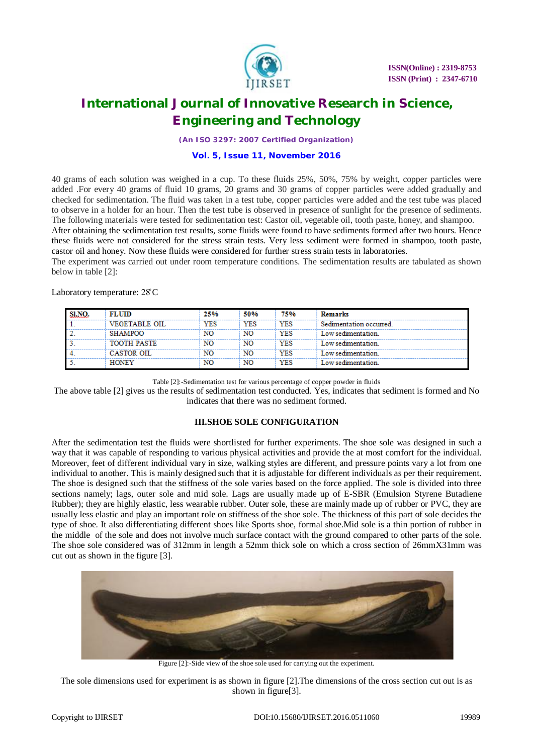

*(An ISO 3297: 2007 Certified Organization)*

#### **Vol. 5, Issue 11, November 2016**

40 grams of each solution was weighed in a cup. To these fluids 25%, 50%, 75% by weight, copper particles were added .For every 40 grams of fluid 10 grams, 20 grams and 30 grams of copper particles were added gradually and checked for sedimentation. The fluid was taken in a test tube, copper particles were added and the test tube was placed to observe in a holder for an hour. Then the test tube is observed in presence of sunlight for the presence of sediments. The following materials were tested for sedimentation test: Castor oil, vegetable oil, tooth paste, honey, and shampoo.

After obtaining the sedimentation test results, some fluids were found to have sediments formed after two hours. Hence these fluids were not considered for the stress strain tests. Very less sediment were formed in shampoo, tooth paste, castor oil and honey. Now these fluids were considered for further stress strain tests in laboratories.

The experiment was carried out under room temperature conditions. The sedimentation results are tabulated as shown below in table [2]:

Laboratory temperature: 28̊ C

| SLNO. | <b>FLUID</b>         | 25% | 50%        | 75%        | Remarks                 |
|-------|----------------------|-----|------------|------------|-------------------------|
|       | <b>VEGETABLE OIL</b> | YES | <b>YES</b> | <b>YES</b> | Sedimentation occurred. |
|       | <b>SHAMPOO</b>       | NO  | NO         | YES        | Low sedimentation       |
|       | <b>TOOTH PASTE</b>   | NO  | NO         | YES        | Low sedimentation.      |
|       | CASTOR OIL           | NO  | NO         | YES        | Low sedimentation       |
|       | <b>HONEY</b>         | NO  | NO         | YES        | Low sedimentation.      |

Table [2]:-Sedimentation test for various percentage of copper powder in fluids

The above table [2] gives us the results of sedimentation test conducted. Yes, indicates that sediment is formed and No indicates that there was no sediment formed.

### **III.SHOE SOLE CONFIGURATION**

After the sedimentation test the fluids were shortlisted for further experiments. The shoe sole was designed in such a way that it was capable of responding to various physical activities and provide the at most comfort for the individual. Moreover, feet of different individual vary in size, walking styles are different, and pressure points vary a lot from one individual to another. This is mainly designed such that it is adjustable for different individuals as per their requirement. The shoe is designed such that the stiffness of the sole varies based on the force applied. The sole is divided into three sections namely; lags, outer sole and mid sole. Lags are usually made up of E-SBR (Emulsion Styrene Butadiene Rubber); they are highly elastic, less wearable rubber. Outer sole, these are mainly made up of rubber or PVC, they are usually less elastic and play an important role on stiffness of the shoe sole. The thickness of this part of sole decides the type of shoe. It also differentiating different shoes like Sports shoe, formal shoe.Mid sole is a thin portion of rubber in the middle of the sole and does not involve much surface contact with the ground compared to other parts of the sole. The shoe sole considered was of 312mm in length a 52mm thick sole on which a cross section of 26mmX31mm was cut out as shown in the figure [3].



Figure [2]:-Side view of the shoe sole used for carrying out the experiment.

The sole dimensions used for experiment is as shown in figure [2].The dimensions of the cross section cut out is as shown in figure<sup>[3]</sup>.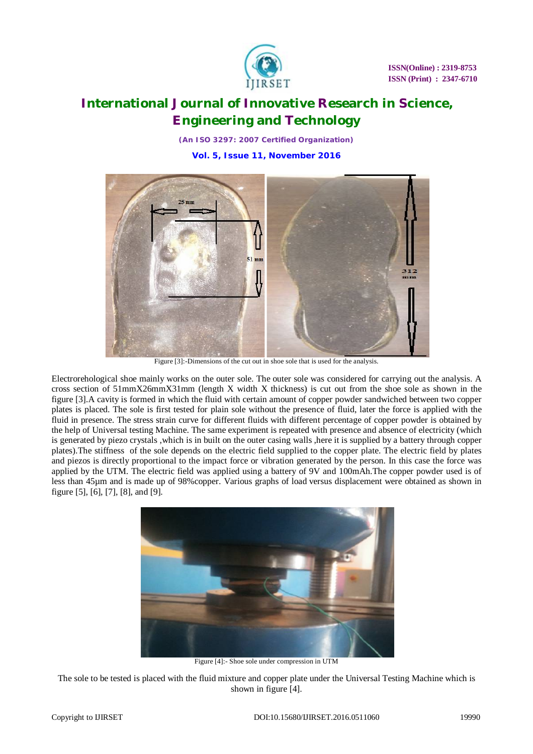

*(An ISO 3297: 2007 Certified Organization)* **Vol. 5, Issue 11, November 2016**



Figure [3]:-Dimensions of the cut out in shoe sole that is used for the analysis.

Electrorehological shoe mainly works on the outer sole. The outer sole was considered for carrying out the analysis. A cross section of 51mmX26mmX31mm (length X width X thickness) is cut out from the shoe sole as shown in the figure [3].A cavity is formed in which the fluid with certain amount of copper powder sandwiched between two copper plates is placed. The sole is first tested for plain sole without the presence of fluid, later the force is applied with the fluid in presence. The stress strain curve for different fluids with different percentage of copper powder is obtained by the help of Universal testing Machine. The same experiment is repeated with presence and absence of electricity (which is generated by piezo crystals ,which is in built on the outer casing walls ,here it is supplied by a battery through copper plates).The stiffness of the sole depends on the electric field supplied to the copper plate. The electric field by plates and piezos is directly proportional to the impact force or vibration generated by the person. In this case the force was applied by the UTM. The electric field was applied using a battery of 9V and 100mAh.The copper powder used is of less than 45µm and is made up of 98%copper. Various graphs of load versus displacement were obtained as shown in figure [5], [6], [7], [8], and [9].



Figure [4]:- Shoe sole under compression in UTM

The sole to be tested is placed with the fluid mixture and copper plate under the Universal Testing Machine which is shown in figure [4].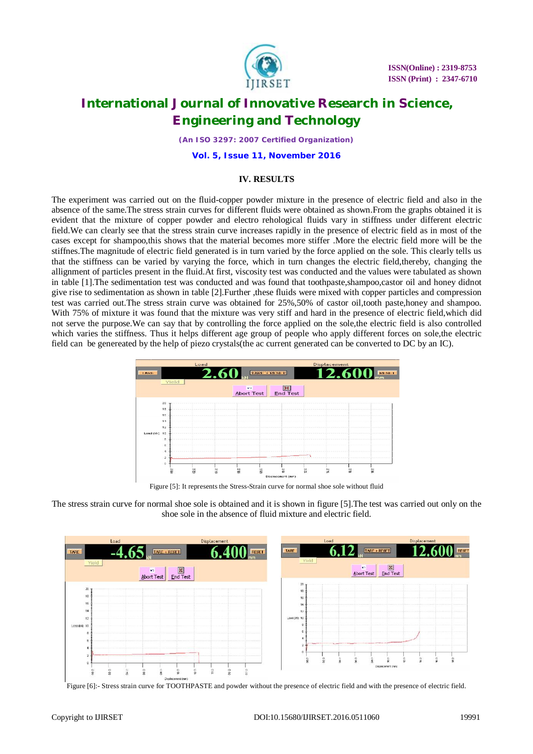

*(An ISO 3297: 2007 Certified Organization)*

**Vol. 5, Issue 11, November 2016**

### **IV. RESULTS**

The experiment was carried out on the fluid-copper powder mixture in the presence of electric field and also in the absence of the same.The stress strain curves for different fluids were obtained as shown.From the graphs obtained it is evident that the mixture of copper powder and electro rehological fluids vary in stiffness under different electric field.We can clearly see that the stress strain curve increases rapidly in the presence of electric field as in most of the cases except for shampoo,this shows that the material becomes more stiffer .More the electric field more will be the stiffnes.The magnitude of electric field generated is in turn varied by the force applied on the sole. This clearly tells us that the stiffness can be varied by varying the force, which in turn changes the electric field,thereby, changing the allignment of particles present in the fluid.At first, viscosity test was conducted and the values were tabulated as shown in table [1].The sedimentation test was conducted and was found that toothpaste,shampoo,castor oil and honey didnot give rise to sedimentation as shown in table [2].Further ,these fluids were mixed with copper particles and compression test was carried out.The stress strain curve was obtained for 25%,50% of castor oil,tooth paste,honey and shampoo. With 75% of mixture it was found that the mixture was very stiff and hard in the presence of electric field,which did not serve the purpose.We can say that by controlling the force applied on the sole,the electric field is also controlled which varies the stiffness. Thus it helps different age group of people who apply different forces on sole,the electric field can be genereated by the help of piezo crystals(the ac current generated can be converted to DC by an IC).



Figure [5]: It represents the Stress-Strain curve for normal shoe sole without fluid





Figure [6]:- Stress strain curve for TOOTHPASTE and powder without the presence of electric field and with the presence of electric field.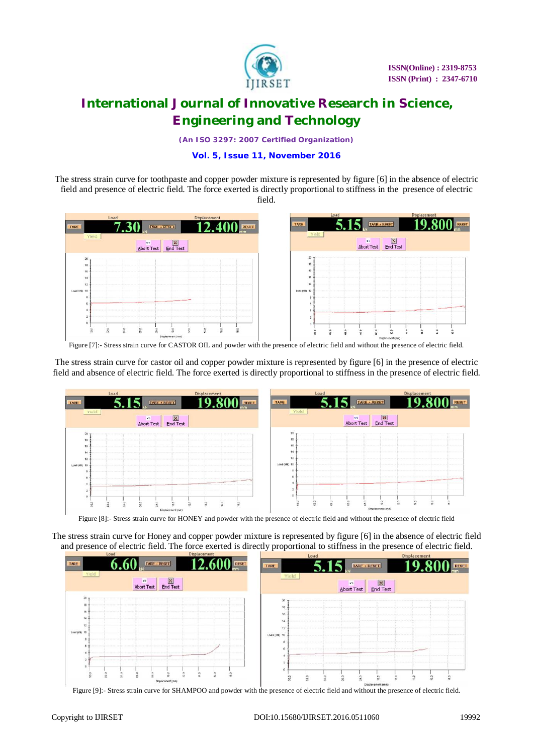

*(An ISO 3297: 2007 Certified Organization)*

### **Vol. 5, Issue 11, November 2016**

The stress strain curve for toothpaste and copper powder mixture is represented by figure [6] in the absence of electric field and presence of electric field. The force exerted is directly proportional to stiffness in the presence of electric field.



Figure [7]:- Stress strain curve for CASTOR OIL and powder with the presence of electric field and without the presence of electric field.

The stress strain curve for castor oil and copper powder mixture is represented by figure [6] in the presence of electric field and absence of electric field. The force exerted is directly proportional to stiffness in the presence of electric field.



Figure [8]:- Stress strain curve for HONEY and powder with the presence of electric field and without the presence of electric field

The stress strain curve for Honey and copper powder mixture is represented by figure [6] in the absence of electric field and presence of electric field. The force exerted is directly proportional to stiffness in the presence of electric field.



Figure [9]:- Stress strain curve for SHAMPOO and powder with the presence of electric field and without the presence of electric field.